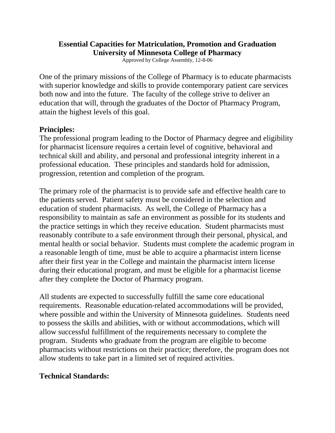## **Essential Capacities for Matriculation, Promotion and Graduation University of Minnesota College of Pharmacy**

Approved by College Assembly, 12-8-06

One of the primary missions of the College of Pharmacy is to educate pharmacists with superior knowledge and skills to provide contemporary patient care services both now and into the future. The faculty of the college strive to deliver an education that will, through the graduates of the Doctor of Pharmacy Program, attain the highest levels of this goal.

## **Principles:**

The professional program leading to the Doctor of Pharmacy degree and eligibility for pharmacist licensure requires a certain level of cognitive, behavioral and technical skill and ability, and personal and professional integrity inherent in a professional education. These principles and standards hold for admission, progression, retention and completion of the program.

The primary role of the pharmacist is to provide safe and effective health care to the patients served. Patient safety must be considered in the selection and education of student pharmacists. As well, the College of Pharmacy has a responsibility to maintain as safe an environment as possible for its students and the practice settings in which they receive education. Student pharmacists must reasonably contribute to a safe environment through their personal, physical, and mental health or social behavior. Students must complete the academic program in a reasonable length of time, must be able to acquire a pharmacist intern license after their first year in the College and maintain the pharmacist intern license during their educational program, and must be eligible for a pharmacist license after they complete the Doctor of Pharmacy program.

All students are expected to successfully fulfill the same core educational requirements. Reasonable education-related accommodations will be provided, where possible and within the University of Minnesota guidelines. Students need to possess the skills and abilities, with or without accommodations, which will allow successful fulfillment of the requirements necessary to complete the program. Students who graduate from the program are eligible to become pharmacists without restrictions on their practice; therefore, the program does not allow students to take part in a limited set of required activities.

## **Technical Standards:**